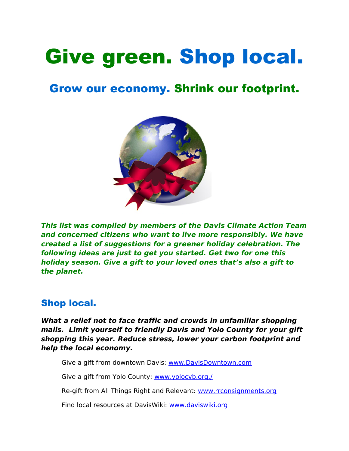# Give green. Shop local.

## Grow our economy. Shrink our footprint.



**This list was compiled by members of the Davis Climate Action Team and concerned citizens who want to live more responsibly. We have created a list of suggestions for a greener holiday celebration. The following ideas are just to get you started. Get two for one this holiday season. Give a gift to your loved ones that's also a gift to the planet.**

## Shop local.

**What a relief not to face traffic and crowds in unfamiliar shopping malls. Limit yourself to friendly Davis and Yolo County for your gift shopping this year. Reduce stress, lower your carbon footprint and help the local economy.**

Give a gift from downtown Davis: [www.DavisDowntown.com](http://www.DavisDowntown.com/)

Give a gift from Yolo County: [www.yolocvb.org./](http://www.yolocvb.org./)

Re-gift from All Things Right and Relevant: www.rrconsignments.org

Find local resources at DavisWiki: [www.daviswiki.org](http://www.daviswiki.org/)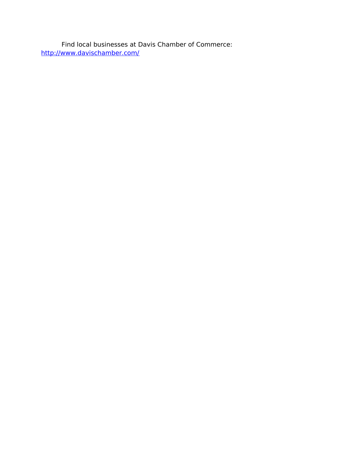Find local businesses at Davis Chamber of Commerce: <http://www.davischamber.com/>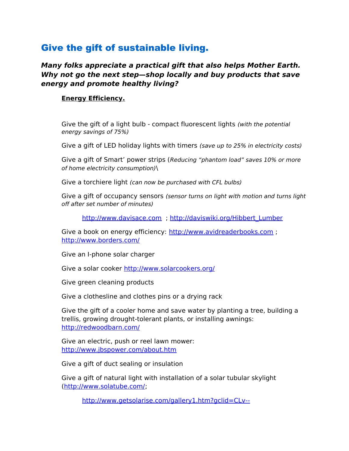## Give the gift of sustainable living.

**Many folks appreciate a practical gift that also helps Mother Earth. Why not go the next step—shop locally and buy products that save energy and promote healthy living?** 

#### **Energy Efficiency.**

Give the gift of a light bulb - compact fluorescent lights (with the potential energy savings of 75%)

Give a gift of LED holiday lights with timers (save up to 25% in electricity costs)

Give a gift of Smart' power strips (Reducing "phantom load" saves 10% or more of home electricity consumption)\

Give a torchiere light (can now be purchased with CFL bulbs)

Give a gift of occupancy sensors (sensor turns on light with motion and turns light off after set number of minutes)

[http://www.davisace.com](http://www.davisace.com/) ; [http://daviswiki.org/Hibbert\\_Lumber](http://daviswiki.org/Hibbert_Lumber)

Give a book on energy efficiency: [http://www.avidreaderbooks.com](http://www.avidreaderbooks.com/) ; <http://www.borders.com/>

Give an I-phone solar charger

Give a solar cooker<http://www.solarcookers.org/>

Give green cleaning products

Give a clothesline and clothes pins or a drying rack

Give the gift of a cooler home and save water by planting a tree, building a trellis, growing drought-tolerant plants, or installing awnings: <http://redwoodbarn.com/>

Give an electric, push or reel lawn mower: <http://www.jbspower.com/about.htm>

Give a gift of duct sealing or insulation

Give a gift of natural light with installation of a solar tubular skylight [\(http://www.solatube.com/;](http://www.solatube.com/)

[http://www.getsolarise.com/gallery1.htm?gclid=CLv--](http://www.getsolarise.com/gallery1.htm?gclid=CLv--dvZjZ4CFRQpawodEFbptg)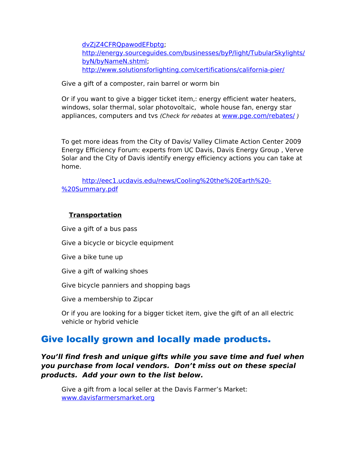[dvZjZ4CFRQpawodEFbptg;](http://www.getsolarise.com/gallery1.htm?gclid=CLv--dvZjZ4CFRQpawodEFbptg) [http://energy.sourceguides.com/businesses/byP/light/TubularSkylights/](http://energy.sourceguides.com/businesses/byP/light/TubularSkylights/byN/byNameN.shtml) [byN/byNameN.shtml;](http://energy.sourceguides.com/businesses/byP/light/TubularSkylights/byN/byNameN.shtml) <http://www.solutionsforlighting.com/certifications/california-pier/>

Give a gift of a composter, rain barrel or worm bin

Or if you want to give a bigger ticket item,: energy efficient water heaters, windows, solar thermal, solar photovoltaic, whole house fan, energy star appliances, computers and tvs (Check for rebates at www.pge.com/rebates/)

To get more ideas from the City of Davis/ Valley Climate Action Center 2009 Energy Efficiency Forum: experts from UC Davis, Davis Energy Group , Verve Solar and the City of Davis identify energy efficiency actions you can take at home.

[http://eec1.ucdavis.edu/news/Cooling%20the%20Earth%20-](http://eec1.ucdavis.edu/news/Cooling%20the%20Earth%20-%20Summary.pdf) [%20Summary.pdf](http://eec1.ucdavis.edu/news/Cooling%20the%20Earth%20-%20Summary.pdf)

#### **Transportation**

Give a gift of a bus pass Give a bicycle or bicycle equipment Give a bike tune up Give a gift of walking shoes Give bicycle panniers and shopping bags Give a membership to Zipcar

Or if you are looking for a bigger ticket item, give the gift of an all electric vehicle or hybrid vehicle

## Give locally grown and locally made products.

**You'll find fresh and unique gifts while you save time and fuel when you purchase from local vendors. Don't miss out on these special products. Add your own to the list below.**

Give a gift from a local seller at the Davis Farmer's Market: [www.davisfarmersmarket.org](http://www.davisfarmersmarket.org/)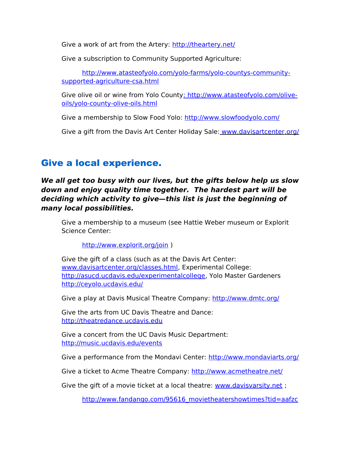Give a work of art from the Artery:<http://theartery.net/>

Give a subscription to Community Supported Agriculture:

[http://www.atasteofyolo.com/yolo-farms/yolo-countys-community](http://www.atasteofyolo.com/yolo-farms/yolo-countys-community-supported-agriculture-csa.html)[supported-agriculture-csa.html](http://www.atasteofyolo.com/yolo-farms/yolo-countys-community-supported-agriculture-csa.html)

Give olive oil or wine from Yolo Count[y: http://www.atasteofyolo.com/olive](file:///Local%20Settings/Temp/:%20http:/www.atasteofyolo.com/olive-oils/yolo-county-olive-oils.html)[oils/yolo-county-olive-oils.html](file:///Local%20Settings/Temp/:%20http:/www.atasteofyolo.com/olive-oils/yolo-county-olive-oils.html)

Give a membership to Slow Food Yolo:<http://www.slowfoodyolo.com/>

Give a gift from the Davis Art Center Holiday Sale: www.[davisartcenter](http://www.davisartcenter.org/).org/

## Give a local experience.

#### **We all get too busy with our lives, but the gifts below help us slow down and enjoy quality time together. The hardest part will be deciding which activity to give—this list is just the beginning of many local possibilities.**

Give a membership to a museum (see Hattie Weber museum or Explorit Science Center:

<http://www.explorit.org/join>)

Give the gift of a class (such as at the Davis Art Center: [www.davisartcenter.org/classes.html,](http://www.davisartcenter.org/classes.html) Experimental College: [http://asucd.ucdavis.edu/experimentalcollege,](http://asucd.ucdavis.edu/experimentalcollege) Yolo Master Gardener[s](file:///tmp/%20%20http://ceyolo.ucdavis.edu/) [http://ceyolo.ucdavis.edu/](file:///tmp/%20%20http://ceyolo.ucdavis.edu/)

Give a play at Davis Musical Theatre Company:<http://www.dmtc.org/>

Give the arts from UC Davis Theatre and Dance: [http://theatredance.ucdavis.edu](http://theatredance.ucdavis.edu/)

Give a concert from the UC Davis Music Department: <http://music.ucdavis.edu/events>

Give a performance from the Mondavi Center:<http://www.mondaviarts.org/>

Give a ticket to Acme Theatre Company:<http://www.acmetheatre.net/>

Give the gift of a movie ticket at a local theatre: [www.davisvarsity.net](http://www.davisvarsity.net/) ;

[http://www.fandango.com/95616\\_movietheatershowtimes?tid=aafzc](http://www.fandango.com/95616_movietheatershowtimes?tid=aafzc)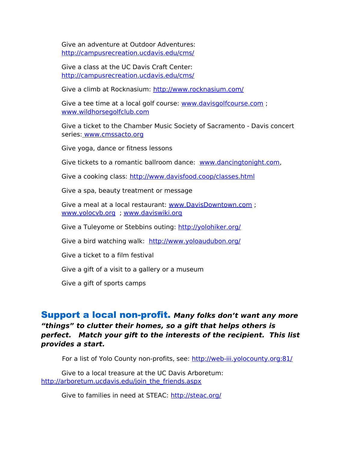Give an adventure at Outdoor Adventures: <http://campusrecreation.ucdavis.edu/cms/>

Give a class at the UC Davis Craft Center: <http://campusrecreation.ucdavis.edu/cms/>

Give a climb at Rocknasium:<http://www.rocknasium.com/>

Give a tee time at a local golf course: [www.davisgolfcourse.com](http://www.davisgolfcourse.com/) ; [www.wildhorsegolfclub.com](http://www.wildhorsegolfclub.com/)

Give a ticket to the Chamber Music Society of Sacramento - Davis concert series: [www.cmssacto.org](http://www.cmssacto.org/)

Give yoga, dance or fitness lessons

Give tickets to a romantic ballroom dance: [www.dancingtonight.com,](http://www.dancingtonight.com/)

Give a cooking class:<http://www.davisfood.coop/classes.html>

Give a spa, beauty treatment or message

Give a meal at a local restaurant: [www.DavisDowntown.com](http://www.DavisDowntown.com/) ; [www.yolocvb.org](http://www.yolocvb.org/) ; [www.daviswiki.org](http://www.daviswiki.org/) 

Give a Tuleyome or Stebbins outing: <http://yolohiker.org/>

Give a bird watching walk: [http://www.yoloaudubon.org/](http://www.yoloaudubon.org/%20)

Give a ticket to a film festival

Give a gift of a visit to a gallery or a museum

Give a gift of sports camps

#### Support a local non-profit. **Many folks don't want any more "things" to clutter their homes, so a gift that helps others is perfect. Match your gift to the interests of the recipient. This list provides a start.**

For a list of Yolo County non-profits, see:<http://web-iii.yolocounty.org:81/>

Give to a local treasure at the UC Davis Arboretum: [http://arboretum.ucdavis.edu/join\\_the\\_friends.aspx](http://arboretum.ucdavis.edu/join_the_friends.aspx)

Give to families in need at STEAC:<http://steac.org/>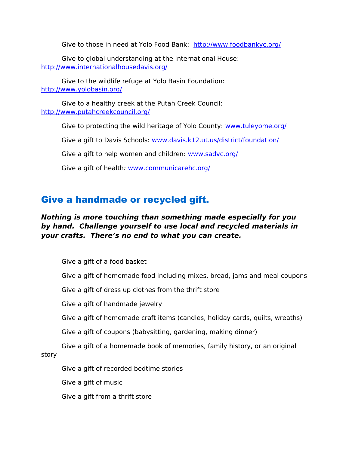Give to those in need at Yolo Food Bank: <http://www.foodbankyc.org/>

Give to global understanding at the International House: <http://www.internationalhousedavis.org/>

Give to the wildlife refuge at Yolo Basin Foundation: <http://www.yolobasin.org/>

Give to a healthy creek at the Putah Creek Council: <http://www.putahcreekcouncil.org/>

Give to protecting the wild heritage of Yolo County: [www.tuleyome.org/](http://www.tuleyome.org/)

Give a gift to Davis Schools: www.davis.k12.ut.us/district/foundation/

Give a gift to help women and children: [www.sadvc.org/](http://www.sadvc.org/)

Give a gift of health: www.communicarehc.org/

## Give a handmade or recycled gift.

#### **Nothing is more touching than something made especially for you by hand. Challenge yourself to use local and recycled materials in your crafts. There's no end to what you can create.**

Give a gift of a food basket

Give a gift of homemade food including mixes, bread, jams and meal coupons

Give a gift of dress up clothes from the thrift store

Give a gift of handmade jewelry

Give a gift of homemade craft items (candles, holiday cards, quilts, wreaths)

Give a gift of coupons (babysitting, gardening, making dinner)

Give a gift of a homemade book of memories, family history, or an original story

Give a gift of recorded bedtime stories

Give a gift of music

Give a gift from a thrift store